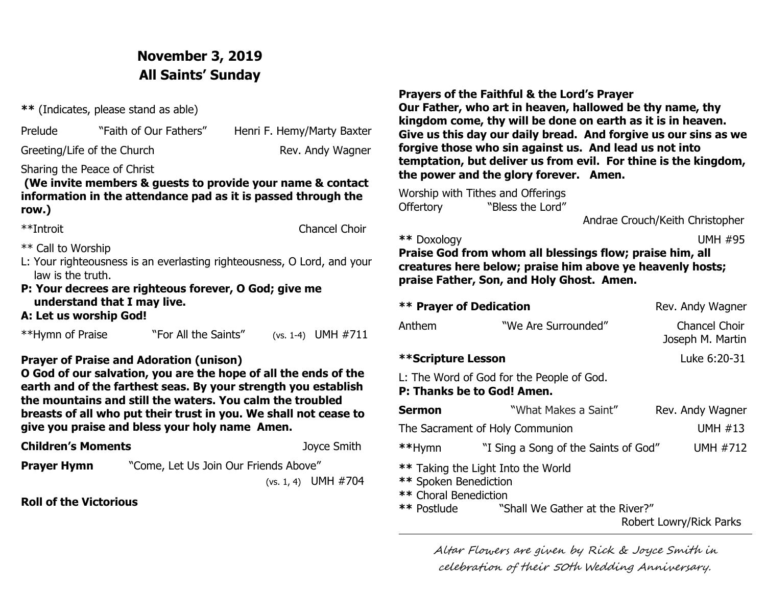# **November 3, 2019 All Saints' Sunday**

**\*\*** (Indicates, please stand as able)

| Prelude<br>"Faith of Our Fa |
|-----------------------------|
|                             |

athers" Henri F. Hemy/Marty Baxter

Greeting/Life of the Church Rev. Andy Wagner

Sharing the Peace of Christ

 **(We invite members & guests to provide your name & contact information in the attendance pad as it is passed through the row.)**

| **Introit |  |
|-----------|--|
|           |  |

Chancel Choir

- \*\* Call to Worship
- L: Your righteousness is an everlasting righteousness, O Lord, and your law is the truth.
- **P: Your decrees are righteous forever, O God; give me understand that I may live.**

### **A: Let us worship God!**

| **Hymn of Praise<br>"For All the Saints" |  | (vs. 1-4) UMH $\#711$ |
|------------------------------------------|--|-----------------------|
|------------------------------------------|--|-----------------------|

### **Prayer of Praise and Adoration (unison)**

**O God of our salvation, you are the hope of all the ends of the earth and of the farthest seas. By your strength you establish the mountains and still the waters. You calm the troubled breasts of all who put their trust in you. We shall not cease to give you praise and bless your holy name Amen.**

**Children's Moments** Joyce Smith

**Prayer Hymn** "Come, Let Us Join Our Friends Above"

(vs. 1, 4)UMH #704

**Roll of the Victorious**

**Prayers of the Faithful & the Lord's Prayer**

**Our Father, who art in heaven, hallowed be thy name, thy kingdom come, thy will be done on earth as it is in heaven. Give us this day our daily bread. And forgive us our sins as we forgive those who sin against us. And lead us not into temptation, but deliver us from evil. For thine is the kingdom, the power and the glory forever. Amen.**

Worship with Tithes and Offerings Offertory **"Bless the Lord"** 

Andrae Crouch/Keith Christopher

### **\*\*** Doxology UMH #95

**Praise God from whom all blessings flow; praise him, all creatures here below; praise him above ye heavenly hosts; praise Father, Son, and Holy Ghost. Amen.**

| <b>** Prayer of Dedication</b> | Rev. Andy Wagner                                                        |                                          |
|--------------------------------|-------------------------------------------------------------------------|------------------------------------------|
| Anthem                         | "We Are Surrounded"                                                     | <b>Chancel Choir</b><br>Joseph M. Martin |
| **Scripture Lesson             |                                                                         | Luke 6:20-31                             |
|                                | L: The Word of God for the People of God.<br>P: Thanks be to God! Amen. |                                          |
| Sermon                         | "What Makes a Saint"                                                    | Rev. Andy Wagner                         |
|                                | The Sacrament of Holy Communion                                         | <b>UMH #13</b>                           |
| **Hymn                         | "I Sing a Song of the Saints of God"                                    | <b>UMH #712</b>                          |
|                                | ** Taking the Light Into the World                                      |                                          |

- **\*\*** Spoken Benediction
- **\*\*** Choral Benediction
	- "Shall We Gather at the River?"

Robert Lowry/Rick Parks

Altar Flowers are given by Rick & Joyce Smith in celebration of their 50th Wedding Anniversary.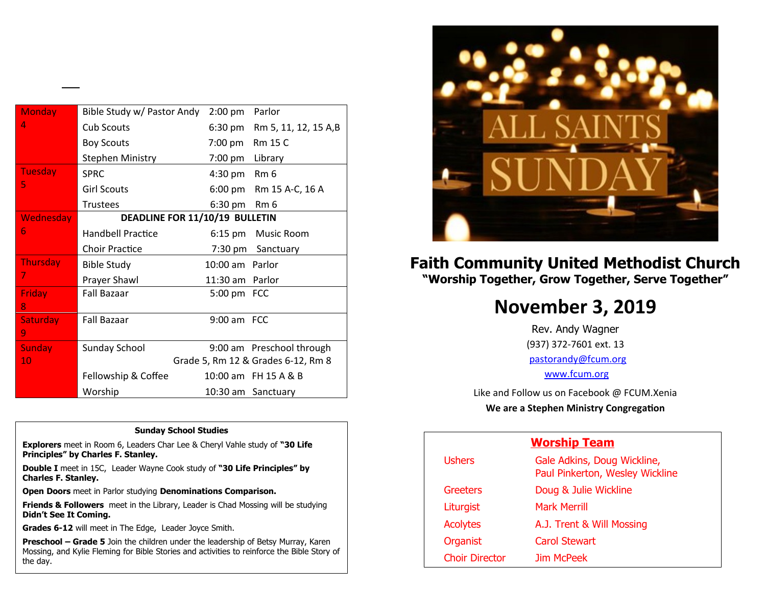| <b>Monday</b>    | Bible Study w/ Pastor Andy     | $2:00$ pm       | Parlor                             |
|------------------|--------------------------------|-----------------|------------------------------------|
| 4                | <b>Cub Scouts</b>              |                 | 6:30 pm Rm 5, 11, 12, 15 A,B       |
|                  | <b>Boy Scouts</b>              | 7:00 pm         | <b>Rm 15 C</b>                     |
|                  | <b>Stephen Ministry</b>        | 7:00 pm         | Library                            |
| <b>Tuesday</b>   | <b>SPRC</b>                    | 4:30 pm         | Rm <sub>6</sub>                    |
| 5                | <b>Girl Scouts</b>             | 6:00 pm         | Rm 15 A-C, 16 A                    |
|                  | <b>Trustees</b>                | 6:30 pm         | Rm <sub>6</sub>                    |
| <b>Wednesday</b> | DEADLINE FOR 11/10/19 BULLETIN |                 |                                    |
| 6                | Handbell Practice              | $6:15$ pm       | Music Room                         |
|                  | <b>Choir Practice</b>          | 7:30 pm         | Sanctuary                          |
| <b>Thursday</b>  | <b>Bible Study</b>             | 10:00 am Parlor |                                    |
| 7                | Prayer Shawl                   | 11:30 am        | Parlor                             |
| <b>Friday</b>    | <b>Fall Bazaar</b>             | 5:00 pm FCC     |                                    |
| 8                |                                |                 |                                    |
| <b>Saturday</b>  | <b>Fall Bazaar</b>             | 9:00 am FCC     |                                    |
| 9                |                                |                 |                                    |
| <b>Sunday</b>    | <b>Sunday School</b>           |                 | 9:00 am Preschool through          |
| 10               |                                |                 | Grade 5, Rm 12 & Grades 6-12, Rm 8 |
|                  | Fellowship & Coffee            |                 | 10:00 am FH 15 A & B               |
|                  | Worship                        |                 | 10:30 am Sanctuary                 |

#### **Sunday School Studies**

**Explorers** meet in Room 6, Leaders Char Lee & Cheryl Vahle study of **"30 Life Principles" by Charles F. Stanley.** 

**Double I** meet in 15C, Leader Wayne Cook study of **"30 Life Principles" by Charles F. Stanley.**

**Open Doors** meet in Parlor studying **Denominations Comparison.**

**Friends & Followers** meet in the Library, Leader is Chad Mossing will be studying **Didn't See It Coming.**

**Grades 6-12** will meet in The Edge, Leader Joyce Smith.

1

**Preschool – Grade 5** Join the children under the leadership of Betsy Murray, Karen Mossing, and Kylie Fleming for Bible Stories and activities to reinforce the Bible Story of the day.



## **Faith Community United Methodist Church "Worship Together, Grow Together, Serve Together"**

# **November 3, 2019**

Rev. Andy Wagner (937) 372-7601 ext. 13 [pastorandy@fcum.org](mailto:pastorandy@fcum.org) [www.fcum.org](http://www.fcum.org/)

Like and Follow us on Facebook @ FCUM.Xenia **We are a Stephen Ministry Congregation**

### **Worship Team**

| <b>Ushers</b>         | Gale Adkins, Doug Wickline,<br>Paul Pinkerton, Wesley Wickline |
|-----------------------|----------------------------------------------------------------|
| <b>Greeters</b>       | Doug & Julie Wickline                                          |
| Liturgist             | <b>Mark Merrill</b>                                            |
| <b>Acolytes</b>       | A.J. Trent & Will Mossing                                      |
| Organist              | Carol Stewart                                                  |
| <b>Choir Director</b> | Jim McPeek                                                     |